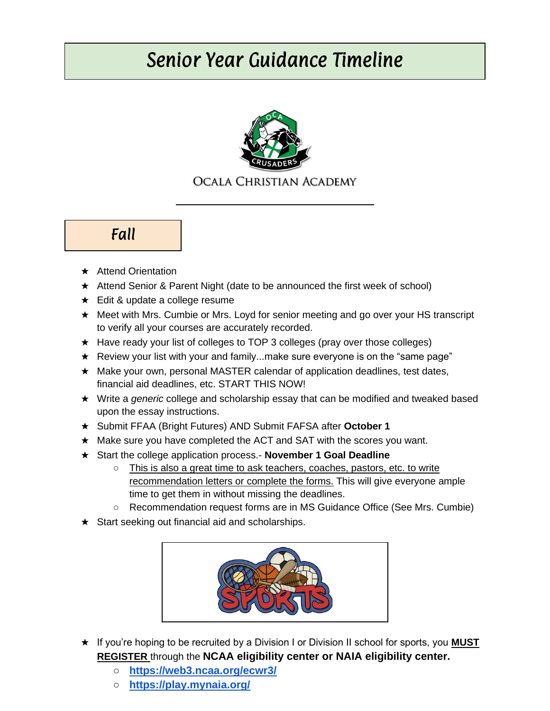## Senior Year Guidance Timeline



## OCALA CHRISTIAN ACADEMY

Fall

- **★** Attend Orientation
- ★ Attend Senior & Parent Night (date to be announced the first week of school)
- ★ Edit & update a college resume
- ★ Meet with Mrs. Cumbie or Mrs. Loyd for senior meeting and go over your HS transcript to verify all your courses are accurately recorded.
- ★ Have ready your list of colleges to TOP 3 colleges (pray over those colleges)
- ★ Review your list with your and family...make sure everyone is on the "same page"
- ★ Make your own, personal MASTER calendar of application deadlines, test dates, financial aid deadlines, etc. START THIS NOW!
- ★ Write a *generic* college and scholarship essay that can be modified and tweaked based upon the essay instructions.
- ★ Submit FFAA (Bright Futures) AND Submit FAFSA after **October 1**
- ★ Make sure you have completed the ACT and SAT with the scores you want.
- ★ Start the college application process.- **November 1 Goal Deadline**
	- This is also a great time to ask teachers, coaches, pastors, etc. to write recommendation letters or complete the forms. This will give everyone ample time to get them in without missing the deadlines.
	- Recommendation request forms are in MS Guidance Office (See Mrs. Cumbie)
- $\star$  Start seeking out financial aid and scholarships.



- ★ If you're hoping to be recruited by a Division I or Division II school for sports, you **MUST REGISTER** through the **NCAA eligibility center or NAIA eligibility center.**
	- **<https://web3.ncaa.org/ecwr3/>**
	- **<https://play.mynaia.org/>**